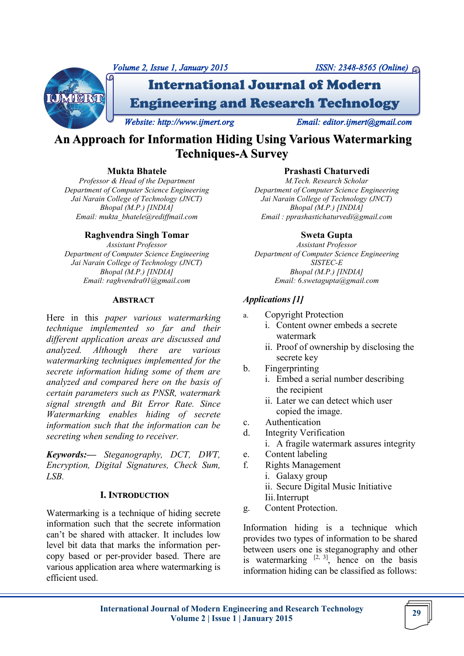

# **An Approach for Information Hiding Using Various Watermarking Techniques-A Survey**

# **Mukta Bhatele**

*Professor & Head of the Department Department of Computer Science Engineering Jai Narain College of Technology (JNCT) Bhopal (M.P.) [INDIA] Email: mukta\_bhatele@rediffmail.com* 

# **Raghvendra Singh Tomar**

*Assistant Professor Department of Computer Science Engineering Jai Narain College of Technology (JNCT) Bhopal (M.P.) [INDIA] Email: raghvendra01@gmail.com* 

#### **ABSTRACT**

Here in this *paper various watermarking technique implemented so far and their different application areas are discussed and analyzed. Although there are various watermarking techniques implemented for the secrete information hiding some of them are analyzed and compared here on the basis of certain parameters such as PNSR, watermark signal strength and Bit Error Rate. Since Watermarking enables hiding of secrete information such that the information can be secreting when sending to receiver.*

*Keywords:— Steganography, DCT, DWT, Encryption, Digital Signatures, Check Sum, LSB.*

### **I. INTRODUCTION**

Watermarking is a technique of hiding secrete information such that the secrete information can't be shared with attacker. It includes low level bit data that marks the information percopy based or per-provider based. There are various application area where watermarking is efficient used.

### **Prashasti Chaturvedi**

*M.Tech. Research Scholar Department of Computer Science Engineering Jai Narain College of Technology (JNCT) Bhopal (M.P.) [INDIA] Email : pprashastichaturvedi@gmail.com* 

# **Sweta Gupta**

*Assistant Professor Department of Computer Science Engineering SISTEC-E Bhopal (M.P.) [INDIA] Email: 6.swetagupta@gmail.com*

# *Applications [1]*

- a. Copyright Protection
	- i. Content owner embeds a secrete watermark
	- ii. Proof of ownership by disclosing the secrete key
- b. Fingerprinting
	- i. Embed a serial number describing the recipient
	- ii. Later we can detect which user copied the image.
- c. Authentication
- d. Integrity Verification
	- i. A fragile watermark assures integrity
- e. Content labeling
- f. Rights Management
	- i. Galaxy group
	- ii. Secure Digital Music Initiative
	- Iii.Interrupt
- g. Content Protection.

Information hiding is a technique which provides two types of information to be shared between users one is steganography and other is watermarking  $[2, 3]$ , hence on the basis information hiding can be classified as follows: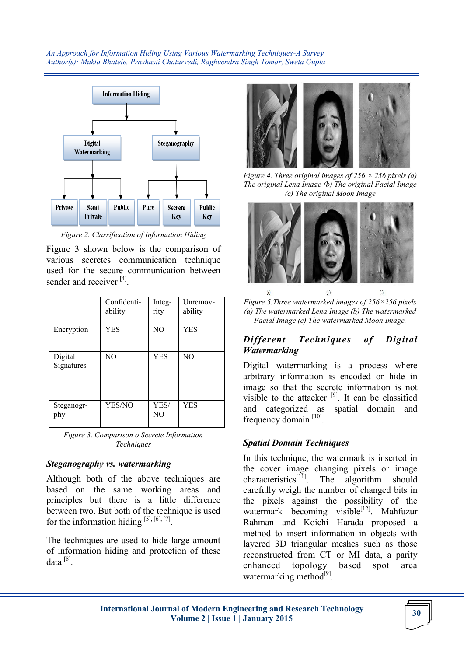

*Figure 2. Classification of Information Hiding*

Figure 3 shown below is the comparison of various secretes communication technique used for the secure communication between sender and receiver [4].

|                       | Confidenti-<br>ability | Integ-<br>rity         | Unremov-<br>ability |
|-----------------------|------------------------|------------------------|---------------------|
| Encryption            | YES                    | N <sub>O</sub>         | <b>YES</b>          |
| Digital<br>Signatures | NO.                    | <b>YES</b>             | NO                  |
| Steganogr-<br>phy     | YES/NO                 | YES/<br>N <sub>O</sub> | <b>YES</b>          |

*Figure 3. Comparison o Secrete Information Techniques*

#### *Steganography vs. watermarking*

Although both of the above techniques are based on the same working areas and principles but there is a little difference between two. But both of the technique is used for the information hiding  $[5]$ ,  $[6]$ ,  $[7]$ .

The techniques are used to hide large amount of information hiding and protection of these data [8].



*Figure 4. Three original images of 256 × 256 pixels (a) The original Lena Image (b) The original Facial Image (c) The original Moon Image* 



*Figure 5.Three watermarked images of 256×256 pixels (a) The watermarked Lena Image (b) The watermarked Facial Image (c) The watermarked Moon Image.*

# *Different Techniques of Digital Watermarking*

Digital watermarking is a process where arbitrary information is encoded or hide in image so that the secrete information is not visible to the attacker [9]. It can be classified and categorized as spatial domain and frequency domain [10].

# *Spatial Domain Techniques*

In this technique, the watermark is inserted in the cover image changing pixels or image characteristics<sup>[11]</sup>. The algorithm should carefully weigh the number of changed bits in the pixels against the possibility of the watermark becoming visible<sup>[12]</sup>. Mahfuzur Rahman and Koichi Harada proposed a method to insert information in objects with layered 3D triangular meshes such as those reconstructed from CT or MI data, a parity enhanced topology based spot area watermarking method<sup>[9]</sup>.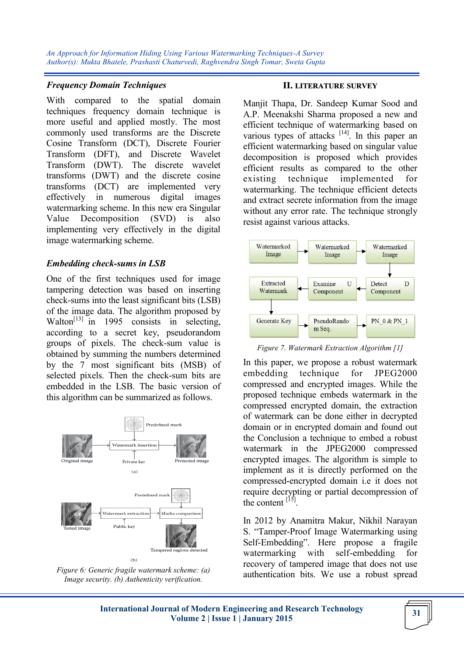### *Frequency Domain Techniques*

With compared to the spatial domain techniques frequency domain technique is more useful and applied mostly. The most commonly used transforms are the Discrete Cosine Transform (DCT), Discrete Fourier Transform (DFT), and Discrete Wavelet Transform (DWT). The discrete wavelet transforms (DWT) and the discrete cosine transforms (DCT) are implemented very effectively in numerous digital images watermarking scheme. In this new era Singular Value Decomposition (SVD) is also implementing very effectively in the digital image watermarking scheme.

### *Embedding check-sums in LSB*

One of the first techniques used for image tampering detection was based on inserting check-sums into the least significant bits (LSB) of the image data. The algorithm proposed by Walton<sup>[13]</sup> in 1995 consists in selecting, according to a secret key, pseudorandom groups of pixels. The check-sum value is obtained by summing the numbers determined by the 7 most significant bits (MSB) of selected pixels. Then the check-sum bits are embedded in the LSB. The basic version of this algorithm can be summarized as follows.



*Figure 6: Generic fragile watermark scheme: (a) Image security. (b) Authenticity verification.*

#### **II. LITERATURE SURVEY**

Manjit Thapa, Dr. Sandeep Kumar Sood and A.P. Meenakshi Sharma proposed a new and efficient technique of watermarking based on various types of attacks  $[14]$ . In this paper an efficient watermarking based on singular value decomposition is proposed which provides efficient results as compared to the other existing technique implemented for watermarking. The technique efficient detects and extract secrete information from the image without any error rate. The technique strongly resist against various attacks.



*Figure 7. Watermark Extraction Algorithm [1]*

In this paper, we propose a robust watermark embedding technique for JPEG2000 compressed and encrypted images. While the proposed technique embeds watermark in the compressed encrypted domain, the extraction of watermark can be done either in decrypted domain or in encrypted domain and found out the Conclusion a technique to embed a robust watermark in the JPEG2000 compressed encrypted images. The algorithm is simple to implement as it is directly performed on the compressed-encrypted domain i.e it does not require decrypting or partial decompression of the content  $^{[15]}$ .

In 2012 by Anamitra Makur, Nikhil Narayan S. "Tamper-Proof Image Watermarking using Self-Embedding". Here propose a fragile watermarking with self-embedding for recovery of tampered image that does not use authentication bits. We use a robust spread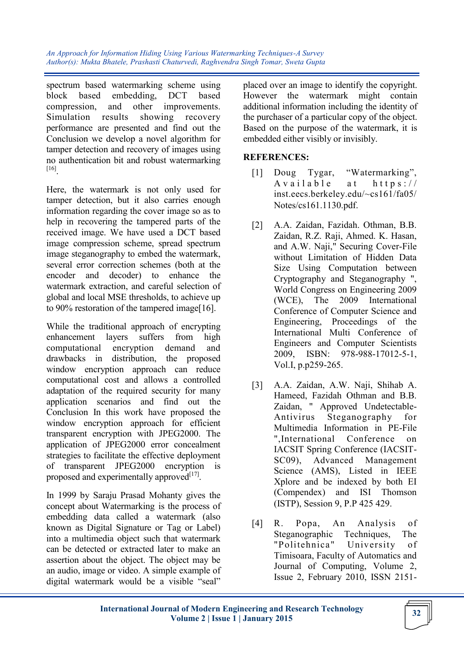spectrum based watermarking scheme using block based embedding, DCT based compression, and other improvements. Simulation results showing recovery performance are presented and find out the Conclusion we develop a novel algorithm for tamper detection and recovery of images using no authentication bit and robust watermarking [16] .

Here, the watermark is not only used for tamper detection, but it also carries enough information regarding the cover image so as to help in recovering the tampered parts of the received image. We have used a DCT based image compression scheme, spread spectrum image steganography to embed the watermark, several error correction schemes (both at the encoder and decoder) to enhance the watermark extraction, and careful selection of global and local MSE thresholds, to achieve up to 90% restoration of the tampered image[16].

While the traditional approach of encrypting enhancement layers suffers from high computational encryption demand and drawbacks in distribution, the proposed window encryption approach can reduce computational cost and allows a controlled adaptation of the required security for many application scenarios and find out the Conclusion In this work have proposed the window encryption approach for efficient transparent encryption with JPEG2000. The application of JPEG2000 error concealment strategies to facilitate the effective deployment of transparent JPEG2000 encryption is proposed and experimentally approved $^{[17]}$ .

In 1999 by Saraju Prasad Mohanty gives the concept about Watermarking is the process of embedding data called a watermark (also known as Digital Signature or Tag or Label) into a multimedia object such that watermark can be detected or extracted later to make an assertion about the object. The object may be an audio, image or video. A simple example of digital watermark would be a visible "seal"

placed over an image to identify the copyright. However the watermark might contain additional information including the identity of the purchaser of a particular copy of the object. Based on the purpose of the watermark, it is embedded either visibly or invisibly.

# **REFERENCES:**

- [1] Doug Tygar, "Watermarking",  $A$  v a i l a b l e at https:// inst.eecs.berkeley.edu/~cs161/fa05/ Notes/cs161.1130.pdf.
- [2] A.A. Zaidan, Fazidah. Othman, B.B. Zaidan, R.Z. Raji, Ahmed. K. Hasan, and A.W. Naji," Securing Cover-File without Limitation of Hidden Data Size Using Computation between Cryptography and Steganography ", World Congress on Engineering 2009 (WCE), The 2009 International Conference of Computer Science and Engineering, Proceedings of the International Multi Conference of Engineers and Computer Scientists 2009, ISBN: 978-988-17012-5-1, Vol.I, p.p259-265.
- [3] A.A. Zaidan, A.W. Naji, Shihab A. Hameed, Fazidah Othman and B.B. Zaidan, " Approved Undetectable-Antivirus Steganography for Multimedia Information in PE-File ",International Conference on IACSIT Spring Conference (IACSIT-SC09), Advanced Management Science (AMS), Listed in IEEE Xplore and be indexed by both EI (Compendex) and ISI Thomson (ISTP), Session 9, P.P 425 429.
- [4] R. Popa, An Analysis of Steganographic Techniques, The "Politehnica" University of Timisoara, Faculty of Automatics and Journal of Computing, Volume 2, Issue 2, February 2010, ISSN 2151-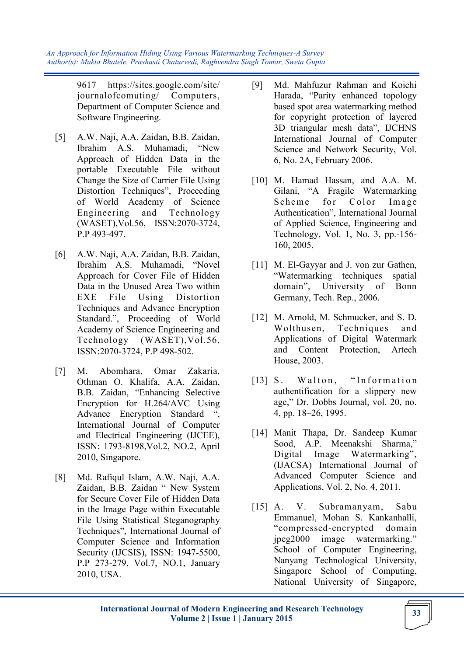> 9617 https://sites.google.com/site/ journalofcomuting/ Computers, Department of Computer Science and Software Engineering.

- [5] A.W. Naji, A.A. Zaidan, B.B. Zaidan, Ibrahim A.S. Muhamadi, "New Approach of Hidden Data in the portable Executable File without Change the Size of Carrier File Using Distortion Techniques", Proceeding of World Academy of Science Engineering and Technology (WASET),Vol.56, ISSN:2070-3724, P.P 493-497.
- [6] A.W. Naji, A.A. Zaidan, B.B. Zaidan, Ibrahim A.S. Muhamadi, "Novel Approach for Cover File of Hidden Data in the Unused Area Two within EXE File Using Distortion Techniques and Advance Encryption Standard.", Proceeding of World Academy of Science Engineering and Technology (WASET),Vol.56, ISSN:2070-3724, P.P 498-502.
- [7] M. Abomhara, Omar Zakaria, Othman O. Khalifa, A.A. Zaidan, B.B. Zaidan, "Enhancing Selective Encryption for H.264/AVC Using Advance Encryption Standard ", International Journal of Computer and Electrical Engineering (IJCEE), ISSN: 1793-8198,Vol.2, NO.2, April 2010, Singapore.
- [8] Md. Rafiqul Islam, A.W. Naji, A.A. Zaidan, B.B. Zaidan " New System for Secure Cover File of Hidden Data in the Image Page within Executable File Using Statistical Steganography Techniques", International Journal of Computer Science and Information Security (IJCSIS), ISSN: 1947-5500, P.P 273-279, Vol.7, NO.1, January 2010, USA.
- [9] Md. Mahfuzur Rahman and Koichi Harada, "Parity enhanced topology based spot area watermarking method for copyright protection of layered 3D triangular mesh data", IJCHNS International Journal of Computer Science and Network Security, Vol. 6, No. 2A, February 2006.
- [10] M. Hamad Hassan, and A.A. M. Gilani, "A Fragile Watermarking Scheme for Color Image Authentication", International Journal of Applied Science, Engineering and Technology, Vol. 1, No. 3, pp.-156- 160, 2005.
- [11] M. El-Gayyar and J. von zur Gathen, "Watermarking techniques spatial domain", University of Bonn Germany, Tech. Rep., 2006.
- [12] M. Arnold, M. Schmucker, and S. D. Wolthusen, Techniques and Applications of Digital Watermark and Content Protection, Artech House, 2003.
- [13] S. Walton, "Information authentification for a slippery new age," Dr. Dobbs Journal, vol. 20, no. 4, pp. 18–26, 1995.
- [14] Manit Thapa, Dr. Sandeep Kumar Sood, A.P. Meenakshi Sharma," Digital Image Watermarking", (IJACSA) International Journal of Advanced Computer Science and Applications, Vol. 2, No. 4, 2011.
- [15] A. V. Subramanyam, Sabu Emmanuel, Mohan S. Kankanhalli, "compressed-encrypted domain jpeg2000 image watermarking." School of Computer Engineering, Nanyang Technological University, Singapore School of Computing, National University of Singapore,